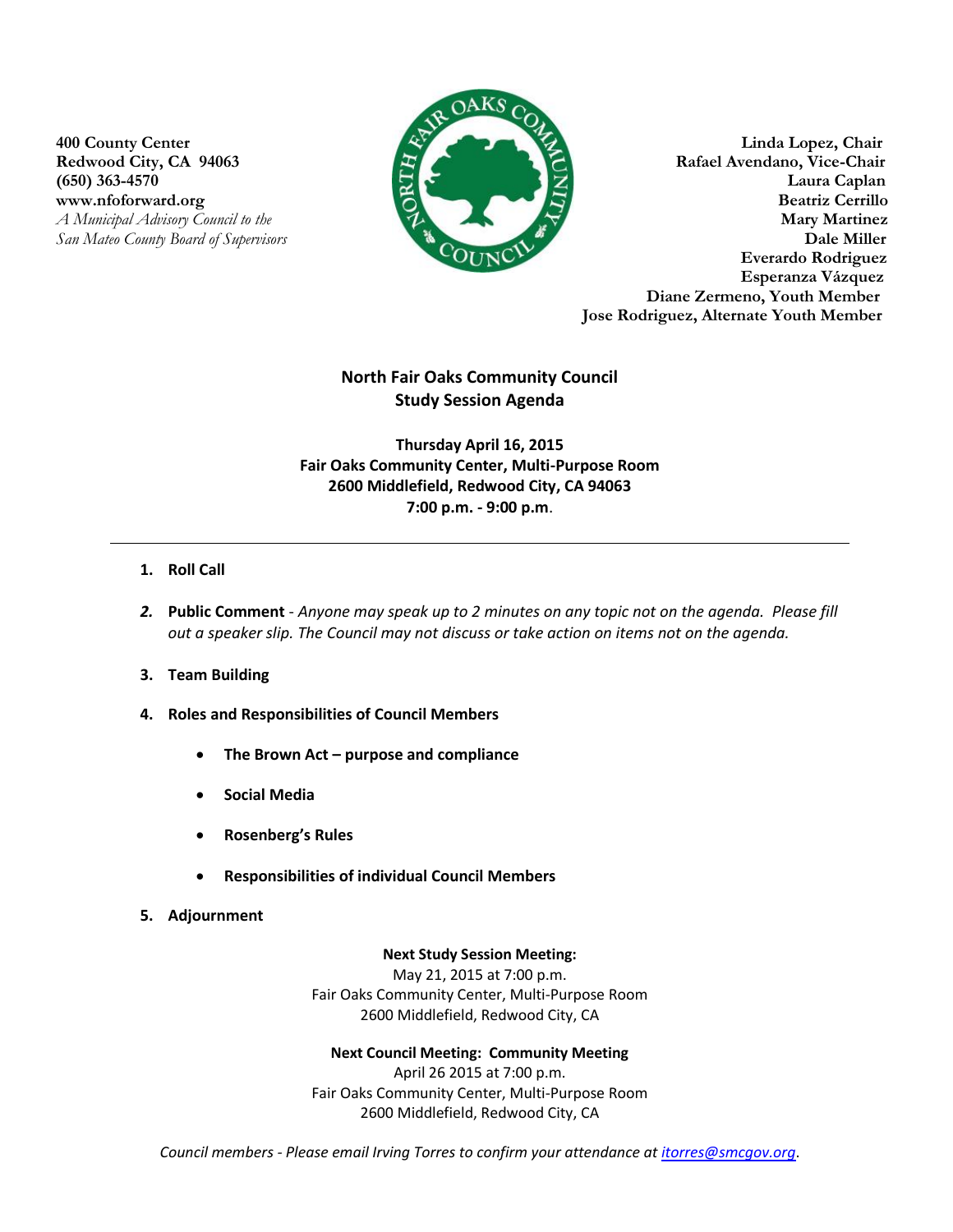www.nfoforward.org



**400 County Center Linda Lopez, Chair** Redwood City, CA 94063 **Rafael Avendano, Vice-Chair** (650) 363-4570 Laura Caplan Laura Caplan Laura Caplan Laura Caplan Laura Caplan Laura Caplan Laura Caplan Laura Caplan Laura Caplan Laura Caplan Laura Caplan Laura Caplan Laura Caplan Laura Caplan Laura Caplan Laura Caplan *A Municipal Advisory Council to the* **Mary Martinez** *San Mateo County Board of Supervisors* **Dale Miller Everardo Rodriguez Esperanza Vázquez Diane Zermeno, Youth Member Jose Rodriguez, Alternate Youth Member**

## **North Fair Oaks Community Council Study Session Agenda**

**Thursday April 16, 2015 Fair Oaks Community Center, Multi-Purpose Room 2600 Middlefield, Redwood City, CA 94063 7:00 p.m. - 9:00 p.m**.

## **1. Roll Call**

- *2.* **Public Comment** *Anyone may speak up to 2 minutes on any topic not on the agenda. Please fill out a speaker slip. The Council may not discuss or take action on items not on the agenda.*
- **3. Team Building**
- **4. Roles and Responsibilities of Council Members**
	- **The Brown Act – purpose and compliance**
	- **Social Media**
	- **Rosenberg's Rules**
	- **Responsibilities of individual Council Members**
- **5. Adjournment**

## **Next Study Session Meeting:**

May 21, 2015 at 7:00 p.m. Fair Oaks Community Center, Multi-Purpose Room 2600 Middlefield, Redwood City, CA

**Next Council Meeting: Community Meeting**  April 26 2015 at 7:00 p.m. Fair Oaks Community Center, Multi-Purpose Room

2600 Middlefield, Redwood City, CA

*Council members - Please email Irving Torres to confirm your attendance at [itorres@smcgov.org](mailto:itorres@smcgov.org)*.